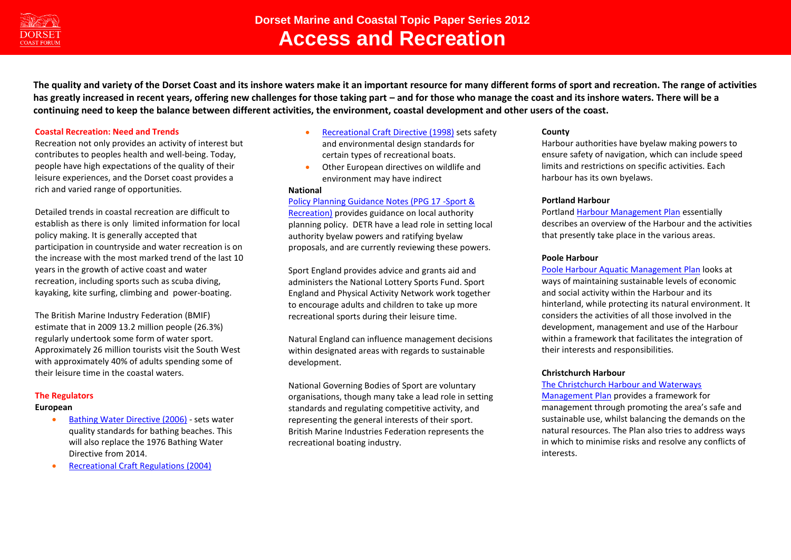

**The quality and variety of the Dorset Coast and its inshore waters make it an important resource for many different forms of sport and recreation. The range of activities**  has greatly increased in recent years, offering new challenges for those taking part – and for those who manage the coast and its inshore waters. There will be a **continuing need to keep the balance between different activities, the environment, coastal development and other users of the coast.** 

## **Coastal Recreation: Need and Trends**

Recreation not only provides an activity of interest but contributes to peoples health and well-being. Today, people have high expectations of the quality of their leisure experiences, and the Dorset coast provides a rich and varied range of opportunities.

Detailed trends in coastal recreation are difficult to establish as there is only limited information for local policy making. It is generally accepted that participation in countryside and water recreation is on the increase with the most marked trend of the last 10 years in the growth of active coast and water recreation, including sports such as scuba diving, kayaking, kite surfing, climbing and power-boating.

The British Marine Industry Federation (BMIF) estimate that in 2009 13.2 million people (26.3%) regularly undertook some form of water sport. Approximately 26 million tourists visit the South West with approximately 40% of adults spending some of their leisure time in the coastal waters.

## **The Regulators**

#### **European**

- [Bathing Water Directive \(2006\)](http://eur-lex.europa.eu/LexUriServ/LexUriServ.do?uri=OJ:L:2006:064:0037:0051:EN:PDF) sets water quality standards for bathing beaches. This will also replace the 1976 Bathing Water Directive from 2014.
- [Recreational Craft Regulations \(2004\)](http://www.bis.gov.uk/files/file11914.pdf)
- [Recreational Craft Directive \(1998\)](http://www.bis.gov.uk/files/file11294.pdf) sets safety and environmental design standards for certain types of recreational boats.
- Other European directives on wildlife and environment may have indirect

#### **National**

## [Policy Planning Guidance Notes \(PPG 17 -Sport &](http://www.communities.gov.uk/documents/planningandbuilding/pdf/ppg17.pdf)

[Recreation\)](http://www.communities.gov.uk/documents/planningandbuilding/pdf/ppg17.pdf) provides guidance on local authority planning policy. DETR have a lead role in setting local authority byelaw powers and ratifying byelaw proposals, and are currently reviewing these powers.

Sport England provides advice and grants aid and administers the National Lottery Sports Fund. Sport England and Physical Activity Network work together to encourage adults and children to take up more recreational sports during their leisure time.

Natural England can influence management decisions within designated areas with regards to sustainable development.

National Governing Bodies of Sport are voluntary organisations, though many take a lead role in setting standards and regulating competitive activity, and representing the general interests of their sport. British Marine Industries Federation represents the recreational boating industry.

## **County**

Harbour authorities have byelaw making powers to ensure safety of navigation, which can include speed limits and restrictions on specific activities. Each harbour has its own byelaws.

#### **Portland Harbour**

Portlan[d Harbour Management Plan](http://www.portland-port.co.uk/documents/sha_regulation/HarbourManagementPlan.pdf) essentially describes an overview of the Harbour and the activities that presently take place in the various areas.

#### **Poole Harbour**

[Poole Harbour Aquatic Management Plan](http://www.pooleharbouraqmp.co.uk/viewplan.html) looks at ways of maintaining sustainable levels of economic and social activity within the Harbour and its hinterland, while protecting its natural environment. It considers the activities of all those involved in the development, management and use of the Harbour within a framework that facilitates the integration of their interests and responsibilities.

## **Christchurch Harbour**

#### [The Christchurch Harbour and Waterways](http://www.dorsetforyou.com/media.jsp?mediaid=140834&filetype=pdf)

[Management Plan](http://www.dorsetforyou.com/media.jsp?mediaid=140834&filetype=pdf) provides a framework for management through promoting the area's safe and sustainable use, whilst balancing the demands on the natural resources. The Plan also tries to address ways in which to minimise risks and resolve any conflicts of interests.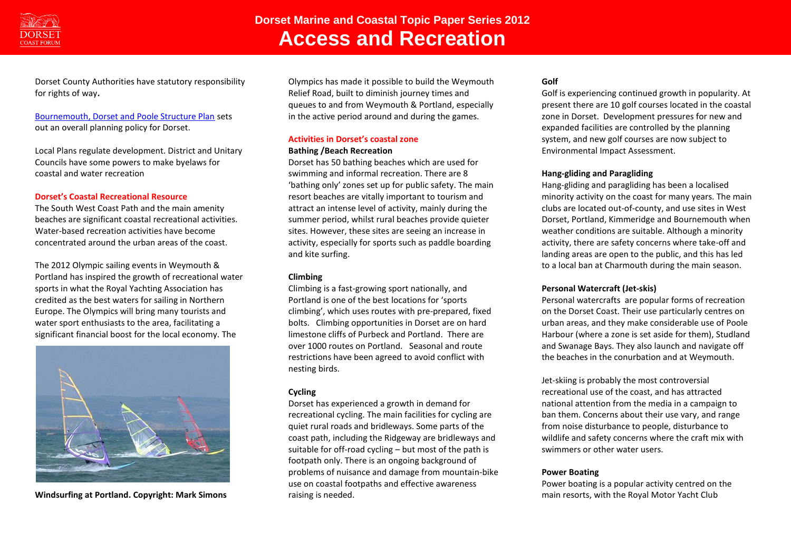

Dorset County Authorities have statutory responsibility for rights of way**.**

# [Bournemouth, Dorset and Poole Structure Plan](http://www.bournemouth.gov.uk/Residents/Planning_Development/Planning_Policy/regional_strategic/StructurePlan_document.asp) sets out an overall planning policy for Dorset.

Local Plans regulate development. District and Unitary Councils have some powers to make byelaws for coastal and water recreation

#### **Dorset's Coastal Recreational Resource**

The South West Coast Path and the main amenity beaches are significant coastal recreational activities. Water-based recreation activities have become concentrated around the urban areas of the coast.

The 2012 Olympic sailing events in Weymouth & Portland has inspired the growth of recreational water sports in what the Royal Yachting Association has credited as the best waters for sailing in Northern Europe. The Olympics will bring many tourists and water sport enthusiasts to the area, facilitating a significant financial boost for the local economy. The



**Windsurfing at Portland. Copyright: Mark Simons**

Olympics has made it possible to build the Weymouth Relief Road, built to diminish journey times and queues to and from Weymouth & Portland, especially in the active period around and during the games.

# **Activities in Dorset's coastal zone**

# **Bathing /Beach Recreation**

Dorset has 50 bathing beaches which are used for swimming and informal recreation. There are 8 'bathing only' zones set up for public safety. The main resort beaches are vitally important to tourism and attract an intense level of activity, mainly during the summer period, whilst rural beaches provide quieter sites. However, these sites are seeing an increase in activity, especially for sports such as paddle boarding and kite surfing.

## **Climbing**

Climbing is a fast-growing sport nationally, and Portland is one of the best locations for 'sports climbing', which uses routes with pre-prepared, fixed bolts. Climbing opportunities in Dorset are on hard limestone cliffs of Purbeck and Portland. There are over 1000 routes on Portland. Seasonal and route restrictions have been agreed to avoid conflict with nesting birds.

# **Cycling**

Dorset has experienced a growth in demand for recreational cycling. The main facilities for cycling are quiet rural roads and bridleways. Some parts of the coast path, including the Ridgeway are bridleways and suitable for off-road cycling – but most of the path is footpath only. There is an ongoing background of problems of nuisance and damage from mountain-bike use on coastal footpaths and effective awareness raising is needed.

# **Golf**

Golf is experiencing continued growth in popularity. At present there are 10 golf courses located in the coastal zone in Dorset. Development pressures for new and expanded facilities are controlled by the planning system, and new golf courses are now subject to Environmental Impact Assessment.

# **Hang-gliding and Paragliding**

Hang-gliding and paragliding has been a localised minority activity on the coast for many years. The main clubs are located out-of-county, and use sites in West Dorset, Portland, Kimmeridge and Bournemouth when weather conditions are suitable. Although a minority activity, there are safety concerns where take-off and landing areas are open to the public, and this has led to a local ban at Charmouth during the main season.

## **Personal Watercraft (Jet-skis)**

Personal watercrafts are popular forms of recreation on the Dorset Coast. Their use particularly centres on urban areas, and they make considerable use of Poole Harbour (where a zone is set aside for them), Studland and Swanage Bays. They also launch and navigate off the beaches in the conurbation and at Weymouth.

Jet-skiing is probably the most controversial recreational use of the coast, and has attracted national attention from the media in a campaign to ban them. Concerns about their use vary, and range from noise disturbance to people, disturbance to wildlife and safety concerns where the craft mix with swimmers or other water users.

## **Power Boating**

Power boating is a popular activity centred on the main resorts, with the Royal Motor Yacht Club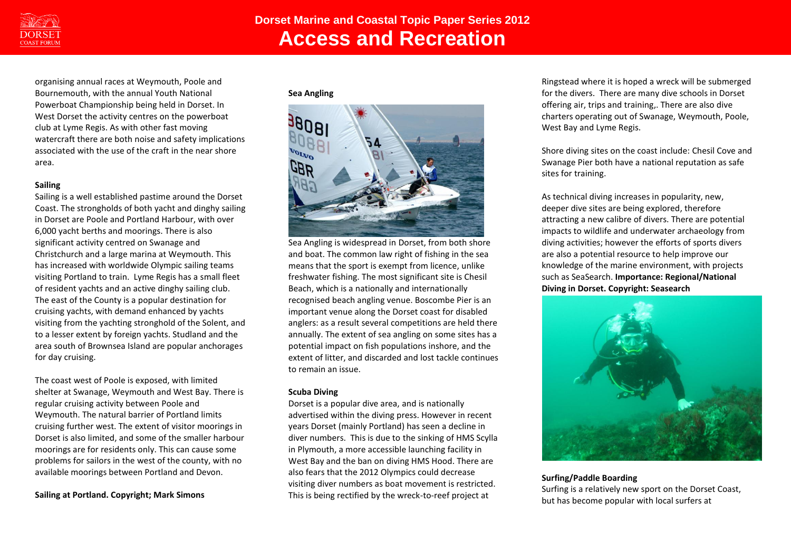

organising annual races at Weymouth, Poole and Bournemouth, with the annual Youth National Powerboat Championship being held in Dorset. In West Dorset the activity centres on the powerboat club at Lyme Regis. As with other fast moving watercraft there are both noise and safety implications associated with the use of the craft in the near shore area.

# **Sailing**

Sailing is a well established pastime around the Dorset Coast. The strongholds of both yacht and dinghy sailing in Dorset are Poole and Portland Harbour, with over 6,000 yacht berths and moorings. There is also significant activity centred on Swanage and Christchurch and a large marina at Weymouth. This has increased with worldwide Olympic sailing teams visiting Portland to train. Lyme Regis has a small fleet of resident yachts and an active dinghy sailing club. The east of the County is a popular destination for cruising yachts, with demand enhanced by yachts visiting from the yachting stronghold of the Solent, and to a lesser extent by foreign yachts. Studland and the area south of Brownsea Island are popular anchorages for day cruising.

The coast west of Poole is exposed, with limited shelter at Swanage, Weymouth and West Bay. There is regular cruising activity between Poole and Weymouth. The natural barrier of Portland limits cruising further west. The extent of visitor moorings in Dorset is also limited, and some of the smaller harbour moorings are for residents only. This can cause some problems for sailors in the west of the county, with no available moorings between Portland and Devon.

## **Sailing at Portland. Copyright; Mark Simons**

**Sea Angling** 



Sea Angling is widespread in Dorset, from both shore and boat. The common law right of fishing in the sea means that the sport is exempt from licence, unlike freshwater fishing. The most significant site is Chesil Beach, which is a nationally and internationally recognised beach angling venue. Boscombe Pier is an important venue along the Dorset coast for disabled anglers: as a result several competitions are held there annually. The extent of sea angling on some sites has a potential impact on fish populations inshore, and the extent of litter, and discarded and lost tackle continues to remain an issue.

## **Scuba Diving**

Dorset is a popular dive area, and is nationally advertised within the diving press. However in recent years Dorset (mainly Portland) has seen a decline in diver numbers. This is due to the sinking of HMS Scylla in Plymouth, a more accessible launching facility in West Bay and the ban on diving HMS Hood. There are also fears that the 2012 Olympics could decrease visiting diver numbers as boat movement is restricted. This is being rectified by the wreck-to-reef project at

Ringstead where it is hoped a wreck will be submerged for the divers. There are many dive schools in Dorset offering air, trips and training,. There are also dive charters operating out of Swanage, Weymouth, Poole, West Bay and Lyme Regis.

Shore diving sites on the coast include: Chesil Cove and Swanage Pier both have a national reputation as safe sites for training.

As technical diving increases in popularity, new, deeper dive sites are being explored, therefore attracting a new calibre of divers. There are potential impacts to wildlife and underwater archaeology from diving activities; however the efforts of sports divers are also a potential resource to help improve our knowledge of the marine environment, with projects such as SeaSearch. **Importance: Regional/National Diving in Dorset. Copyright: Seasearch** 



## **Surfing/Paddle Boarding**

Surfing is a relatively new sport on the Dorset Coast, but has become popular with local surfers at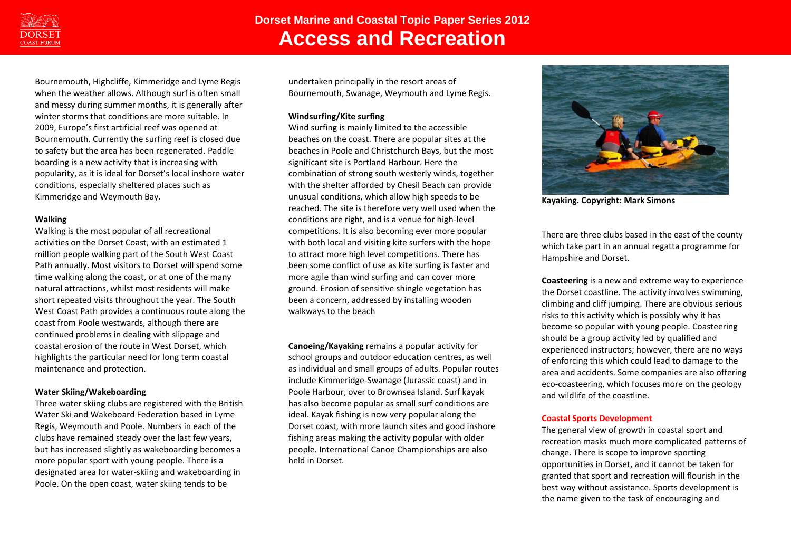

Bournemouth, Highcliffe, Kimmeridge and Lyme Regis when the weather allows. Although surf is often small and messy during summer months, it is generally after winter storms that conditions are more suitable. In 2009, Europe's first artificial reef was opened at Bournemouth. Currently the surfing reef is closed due to safety but the area has been regenerated. Paddle boarding is a new activity that is increasing with popularity, as it is ideal for Dorset's local inshore water conditions, especially sheltered places such as Kimmeridge and Weymouth Bay.

## **Walking**

Walking is the most popular of all recreational activities on the Dorset Coast, with an estimated 1 million people walking part of the South West Coast Path annually. Most visitors to Dorset will spend some time walking along the coast, or at one of the many natural attractions, whilst most residents will make short repeated visits throughout the year. The South West Coast Path provides a continuous route along the coast from Poole westwards, although there are continued problems in dealing with slippage and coastal erosion of the route in West Dorset, which highlights the particular need for long term coastal maintenance and protection.

## **Water Skiing/Wakeboarding**

Three water skiing clubs are registered with the British Water Ski and Wakeboard Federation based in Lyme Regis, Weymouth and Poole. Numbers in each of the clubs have remained steady over the last few years, but has increased slightly as wakeboarding becomes a more popular sport with young people. There is a designated area for water-skiing and wakeboarding in Poole. On the open coast, water skiing tends to be

undertaken principally in the resort areas of Bournemouth, Swanage, Weymouth and Lyme Regis.

## **Windsurfing/Kite surfing**

Wind surfing is mainly limited to the accessible beaches on the coast. There are popular sites at the beaches in Poole and Christchurch Bays, but the most significant site is Portland Harbour. Here the combination of strong south westerly winds, together with the shelter afforded by Chesil Beach can provide unusual conditions, which allow high speeds to be reached. The site is therefore very well used when the conditions are right, and is a venue for high-level competitions. It is also becoming ever more popular with both local and visiting kite surfers with the hope to attract more high level competitions. There has been some conflict of use as kite surfing is faster and more agile than wind surfing and can cover more ground. Erosion of sensitive shingle vegetation has been a concern, addressed by installing wooden walkways to the beach

**Canoeing/Kayaking** remains a popular activity for school groups and outdoor education centres, as well as individual and small groups of adults. Popular routes include Kimmeridge-Swanage (Jurassic coast) and in Poole Harbour, over to Brownsea Island. Surf kayak has also become popular as small surf conditions are ideal. Kayak fishing is now very popular along the Dorset coast, with more launch sites and good inshore fishing areas making the activity popular with older people. International Canoe Championships are also held in Dorset.



**Kayaking. Copyright: Mark Simons**

There are three clubs based in the east of the county which take part in an annual regatta programme for Hampshire and Dorset.

**Coasteering** is a new and extreme way to experience the Dorset coastline. The activity involves swimming, climbing and cliff jumping. There are obvious serious risks to this activity which is possibly why it has become so popular with young people. Coasteering should be a group activity led by qualified and experienced instructors; however, there are no ways of enforcing this which could lead to damage to the area and accidents. Some companies are also offering eco-coasteering, which focuses more on the geology and wildlife of the coastline.

## **Coastal Sports Development**

The general view of growth in coastal sport and recreation masks much more complicated patterns of change. There is scope to improve sporting opportunities in Dorset, and it cannot be taken for granted that sport and recreation will flourish in the best way without assistance. Sports development is the name given to the task of encouraging and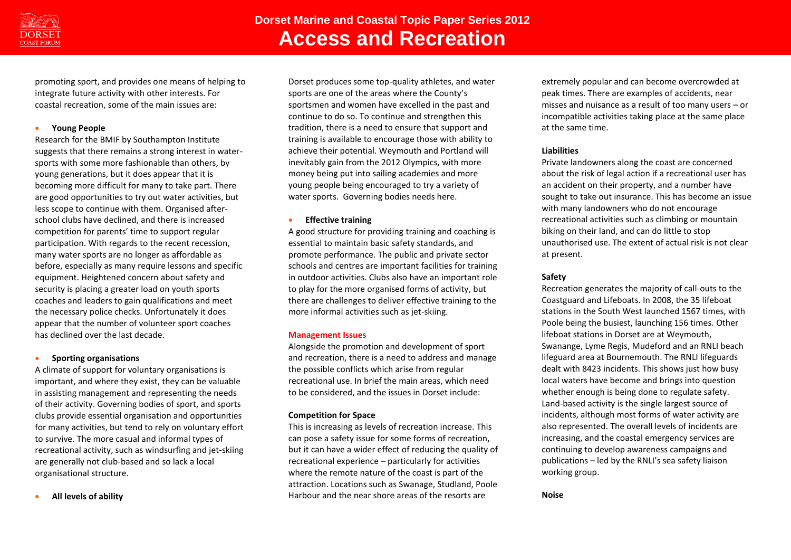

promoting sport, and provides one means of helping to integrate future activity with other interests. For coastal recreation, some of the main issues are:

#### **Young People**

Research for the BMIF by Southampton Institute suggests that there remains a strong interest in watersports with some more fashionable than others, by young generations, but it does appear that it is becoming more difficult for many to take part. There are good opportunities to try out water activities, but less scope to continue with them. Organised afterschool clubs have declined, and there is increased competition for parents' time to support regular participation. With regards to the recent recession, many water sports are no longer as affordable as before, especially as many require lessons and specific equipment. Heightened concern about safety and security is placing a greater load on youth sports coaches and leaders to gain qualifications and meet the necessary police checks. Unfortunately it does appear that the number of volunteer sport coaches has declined over the last decade.

#### **•** Sporting organisations

A climate of support for voluntary organisations is important, and where they exist, they can be valuable in assisting management and representing the needs of their activity. Governing bodies of sport, and sports clubs provide essential organisation and opportunities for many activities, but tend to rely on voluntary effort to survive. The more casual and informal types of recreational activity, such as windsurfing and jet-skiing are generally not club-based and so lack a local organisational structure.

#### **All levels of ability**

Dorset produces some top-quality athletes, and water sports are one of the areas where the County's sportsmen and women have excelled in the past and continue to do so. To continue and strengthen this tradition, there is a need to ensure that support and training is available to encourage those with ability to achieve their potential. Weymouth and Portland will inevitably gain from the 2012 Olympics, with more money being put into sailing academies and more young people being encouraged to try a variety of water sports. Governing bodies needs here.

#### **Effective training**

A good structure for providing training and coaching is essential to maintain basic safety standards, and promote performance. The public and private sector schools and centres are important facilities for training in outdoor activities. Clubs also have an important role to play for the more organised forms of activity, but there are challenges to deliver effective training to the more informal activities such as jet-skiing.

## **Management Issues**

Alongside the promotion and development of sport and recreation, there is a need to address and manage the possible conflicts which arise from regular recreational use. In brief the main areas, which need to be considered, and the issues in Dorset include:

## **Competition for Space**

This is increasing as levels of recreation increase. This can pose a safety issue for some forms of recreation, but it can have a wider effect of reducing the quality of recreational experience – particularly for activities where the remote nature of the coast is part of the attraction. Locations such as Swanage, Studland, Poole Harbour and the near shore areas of the resorts are

extremely popular and can become overcrowded at peak times. There are examples of accidents, near misses and nuisance as a result of too many users – or incompatible activities taking place at the same place at the same time.

## **Liabilities**

Private landowners along the coast are concerned about the risk of legal action if a recreational user has an accident on their property, and a number have sought to take out insurance. This has become an issue with many landowners who do not encourage recreational activities such as climbing or mountain biking on their land, and can do little to stop unauthorised use. The extent of actual risk is not clear at present.

# **Safety**

Recreation generates the majority of call-outs to the Coastguard and Lifeboats. In 2008, the 35 lifeboat stations in the South West launched 1567 times, with Poole being the busiest, launching 156 times. Other lifeboat stations in Dorset are at Weymouth, Swanange, Lyme Regis, Mudeford and an RNLI beach lifeguard area at Bournemouth. The RNLI lifeguards dealt with 8423 incidents. This shows just how busy local waters have become and brings into question whether enough is being done to regulate safety. Land-based activity is the single largest source of incidents, although most forms of water activity are also represented. The overall levels of incidents are increasing, and the coastal emergency services are continuing to develop awareness campaigns and publications – led by the RNLI's sea safety liaison working group.

#### **Noise**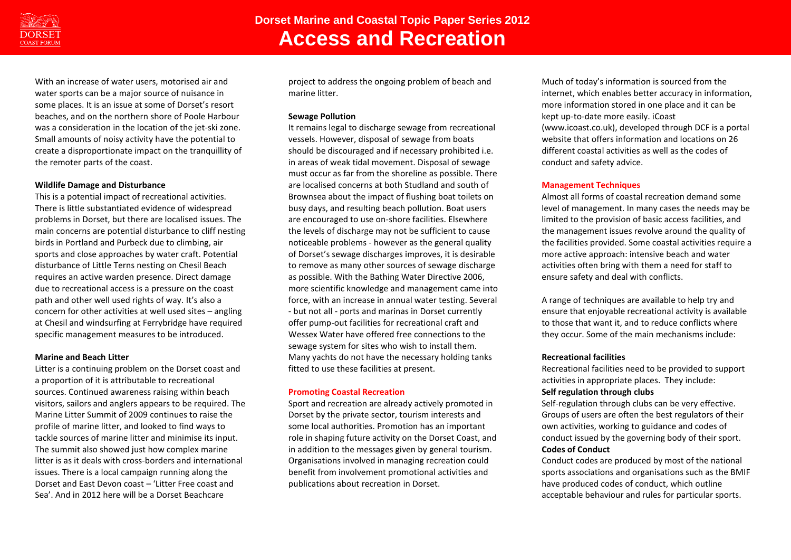

With an increase of water users, motorised air and water sports can be a major source of nuisance in some places. It is an issue at some of Dorset's resort beaches, and on the northern shore of Poole Harbour was a consideration in the location of the jet-ski zone. Small amounts of noisy activity have the potential to create a disproportionate impact on the tranquillity of the remoter parts of the coast.

#### **Wildlife Damage and Disturbance**

This is a potential impact of recreational activities. There is little substantiated evidence of widespread problems in Dorset, but there are localised issues. The main concerns are potential disturbance to cliff nesting birds in Portland and Purbeck due to climbing, air sports and close approaches by water craft. Potential disturbance of Little Terns nesting on Chesil Beach requires an active warden presence. Direct damage due to recreational access is a pressure on the coast path and other well used rights of way. It's also a concern for other activities at well used sites – angling at Chesil and windsurfing at Ferrybridge have required specific management measures to be introduced.

#### **Marine and Beach Litter**

Litter is a continuing problem on the Dorset coast and a proportion of it is attributable to recreational sources. Continued awareness raising within beach visitors, sailors and anglers appears to be required. The Marine Litter Summit of 2009 continues to raise the profile of marine litter, and looked to find ways to tackle sources of marine litter and minimise its input. The summit also showed just how complex marine litter is as it deals with cross-borders and international issues. There is a local campaign running along the Dorset and East Devon coast – 'Litter Free coast and Sea'. And in 2012 here will be a Dorset Beachcare

project to address the ongoing problem of beach and marine litter.

#### **Sewage Pollution**

It remains legal to discharge sewage from recreational vessels. However, disposal of sewage from boats should be discouraged and if necessary prohibited i.e. in areas of weak tidal movement. Disposal of sewage must occur as far from the shoreline as possible. There are localised concerns at both Studland and south of Brownsea about the impact of flushing boat toilets on busy days, and resulting beach pollution. Boat users are encouraged to use on-shore facilities. Elsewhere the levels of discharge may not be sufficient to cause noticeable problems - however as the general quality of Dorset's sewage discharges improves, it is desirable to remove as many other sources of sewage discharge as possible. With the Bathing Water Directive 2006, more scientific knowledge and management came into force, with an increase in annual water testing. Several - but not all - ports and marinas in Dorset currently offer pump-out facilities for recreational craft and Wessex Water have offered free connections to the sewage system for sites who wish to install them. Many yachts do not have the necessary holding tanks fitted to use these facilities at present.

#### **Promoting Coastal Recreation**

Sport and recreation are already actively promoted in Dorset by the private sector, tourism interests and some local authorities. Promotion has an important role in shaping future activity on the Dorset Coast, and in addition to the messages given by general tourism. Organisations involved in managing recreation could benefit from involvement promotional activities and publications about recreation in Dorset.

Much of today's information is sourced from the internet, which enables better accuracy in information, more information stored in one place and it can be kept up-to-date more easily. iCoast (www.icoast.co.uk), developed through DCF is a portal website that offers information and locations on 26 different coastal activities as well as the codes of conduct and safety advice.

#### **Management Techniques**

Almost all forms of coastal recreation demand some level of management. In many cases the needs may be limited to the provision of basic access facilities, and the management issues revolve around the quality of the facilities provided. Some coastal activities require a more active approach: intensive beach and water activities often bring with them a need for staff to ensure safety and deal with conflicts.

A range of techniques are available to help try and ensure that enjoyable recreational activity is available to those that want it, and to reduce conflicts where they occur. Some of the main mechanisms include:

#### **Recreational facilities**

Recreational facilities need to be provided to support activities in appropriate places. They include: **Self regulation through clubs**

Self-regulation through clubs can be very effective. Groups of users are often the best regulators of their own activities, working to guidance and codes of conduct issued by the governing body of their sport. **Codes of Conduct**

Conduct codes are produced by most of the national sports associations and organisations such as the BMIF have produced codes of conduct, which outline acceptable behaviour and rules for particular sports.